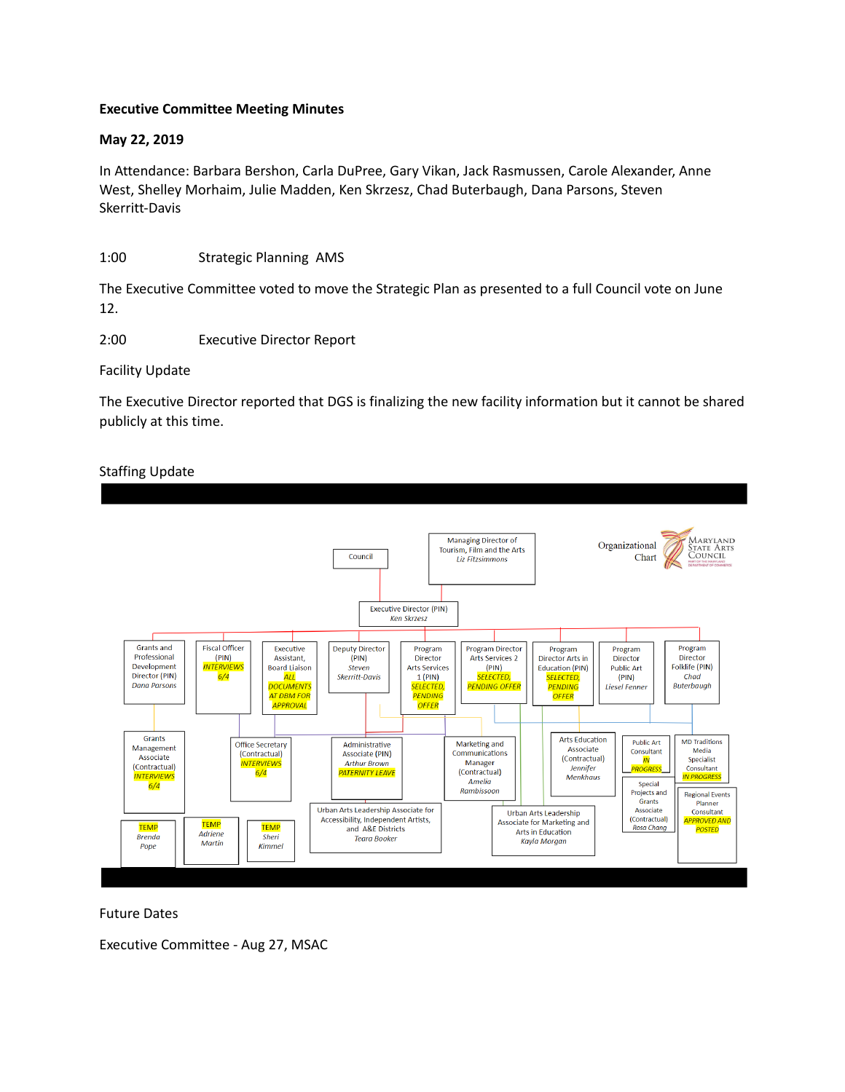## **Executive Committee Meeting Minutes**

## **May 22, 2019**

In Attendance: Barbara Bershon, Carla DuPree, Gary Vikan, Jack Rasmussen, Carole Alexander, Anne West, Shelley Morhaim, Julie Madden, Ken Skrzesz, Chad Buterbaugh, Dana Parsons, Steven Skerritt-Davis

## 1:00 Strategic Planning AMS

The Executive Committee voted to move the Strategic Plan as presented to a full Council vote on June 12.

2:00 Executive Director Report

Facility Update

The Executive Director reported that DGS is finalizing the new facility information but it cannot be shared publicly at this time.

## Staffing Update



Future Dates

Executive Committee - Aug 27, MSAC